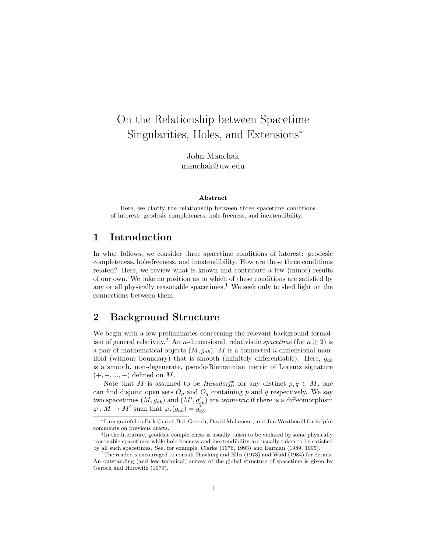# On the Relationship between Spacetime Singularities, Holes, and Extensions<sup>∗</sup>

John Manchak manchak@uw.edu

#### Abstract

Here, we clarify the relationship between three spacetime conditions of interest: geodesic completeness, hole-freeness, and inextendibility.

## 1 Introduction

In what follows, we consider three spacetime conditions of interest: geodesic completeness, hole-freeness, and inextendibility. How are these three conditions related? Here, we review what is known and contribute a few (minor) results of our own. We take no position as to which of these conditions are satisfied by any or all physically reasonable spacetimes.<sup>1</sup> We seek only to shed light on the connections between them.

## 2 Background Structure

We begin with a few preliminaries concerning the relevant background formalism of general relativity.<sup>2</sup> An *n*-dimensional, relativistic *spacetime* (for  $n \ge 2$ ) is a pair of mathematical objects  $(M, g_{ab})$ . M is a connected *n*-dimensional manifold (without boundary) that is smooth (infinitely differentiable). Here,  $g_{ab}$ is a smooth, non-degenerate, pseudo-Riemannian metric of Lorentz signature  $(+, -, ..., -)$  defined on M.

Note that M is assumed to be *Hausdorff*; for any distinct  $p, q \in M$ , one can find disjoint open sets  $O_p$  and  $O_q$  containing p and q respectively. We say two spacetimes  $(M, g_{ab})$  and  $(M', g'_{ab})$  are *isometric* if there is a diffeomorphism  $\varphi: M \to M'$  such that  $\varphi_*(g_{ab}) = g'_{ab}$ .

<sup>∗</sup>I am grateful to Erik Curiel, Bob Geroch, David Malament, and Jim Weatherall for helpful comments on previous drafts.

<sup>&</sup>lt;sup>1</sup>In the literature, geodesic completeness is usually taken to be violated by some physically reasonable spacetimes while hole-freeness and inextendibility are usually taken to be satisfied by all such spacetimes. See, for example, Clarke (1976, 1993) and Earman (1989, 1995).

<sup>2</sup>The reader is encouraged to consult Hawking and Ellis (1973) and Wald (1984) for details. An outstanding (and less technical) survey of the global structure of spacetime is given by Geroch and Horowitz (1979).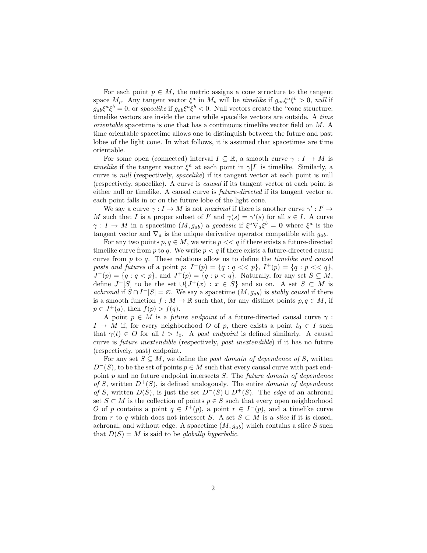For each point  $p \in M$ , the metric assigns a cone structure to the tangent space  $M_p$ . Any tangent vector  $\xi^a$  in  $M_p$  will be *timelike* if  $g_{ab}\xi^a\xi^b > 0$ , *null* if  $g_{ab}\xi^a\xi^b=0$ , or spacelike if  $g_{ab}\xi^a\xi^b<0$ . Null vectors create the "cone structure; timelike vectors are inside the cone while spacelike vectors are outside. A time orientable spacetime is one that has a continuous timelike vector field on M. A time orientable spacetime allows one to distinguish between the future and past lobes of the light cone. In what follows, it is assumed that spacetimes are time orientable.

For some open (connected) interval  $I \subseteq \mathbb{R}$ , a smooth curve  $\gamma : I \to M$  is timelike if the tangent vector  $\xi^a$  at each point in  $\gamma[I]$  is timelike. Similarly, a curve is null (respectively, spacelike) if its tangent vector at each point is null (respectively, spacelike). A curve is causal if its tangent vector at each point is either null or timelike. A causal curve is future-directed if its tangent vector at each point falls in or on the future lobe of the light cone.

We say a curve  $\gamma: I \to M$  is not maximal if there is another curve  $\gamma': I' \to$ M such that I is a proper subset of I' and  $\gamma(s) = \gamma'(s)$  for all  $s \in I$ . A curve  $\gamma: I \to M$  in a spacetime  $(M, g_{ab})$  a geodesic if  $\xi^a \nabla_a \xi^b = \mathbf{0}$  where  $\xi^a$  is the tangent vector and  $\nabla_a$  is the unique derivative operator compatible with  $g_{ab}$ .

For any two points  $p, q \in M$ , we write  $p \ll q$  if there exists a future-directed timelike curve from p to q. We write  $p < q$  if there exists a future-directed causal curve from  $p$  to  $q$ . These relations allow us to define the *timelike and causal* pasts and futures of a point p:  $I^-(p) = \{q : q \lt p\}$ ,  $I^+(p) = \{q : p \lt q\}$ ,  $J^-(p) = \{q : q < p\}$ , and  $J^+(p) = \{q : p < q\}$ . Naturally, for any set  $S \subseteq M$ , define  $J^+[S]$  to be the set  $\cup\{J^+(x): x \in S\}$  and so on. A set  $S \subset M$  is achronal if  $S \cap I^{-}[S] = \emptyset$ . We say a spacetime  $(M, g_{ab})$  is stably causal if there is a smooth function  $f : M \to \mathbb{R}$  such that, for any distinct points  $p, q \in M$ , if  $p \in J^+(q)$ , then  $f(p) > f(q)$ .

A point  $p \in M$  is a *future endpoint* of a future-directed causal curve  $\gamma$ :  $I \rightarrow M$  if, for every neighborhood O of p, there exists a point  $t_0 \in I$  such that  $\gamma(t) \in O$  for all  $t > t_0$ . A past endpoint is defined similarly. A causal curve is future inextendible (respectively, past inextendible) if it has no future (respectively, past) endpoint.

For any set  $S \subseteq M$ , we define the past domain of dependence of S, written  $D^{-}(S)$ , to be the set of points  $p \in M$  such that every causal curve with past endpoint p and no future endpoint intersects S. The future domain of dependence of S, written  $D^+(S)$ , is defined analogously. The entire *domain* of dependence of S, written  $D(S)$ , is just the set  $D^{-}(S) \cup D^{+}(S)$ . The *edge* of an achronal set  $S \subset M$  is the collection of points  $p \in S$  such that every open neighborhood O of p contains a point  $q \in I^+(p)$ , a point  $r \in I^-(p)$ , and a timelike curve from r to q which does not intersect S. A set  $S \subset M$  is a *slice* if it is closed, achronal, and without edge. A spacetime  $(M, g_{ab})$  which contains a slice S such that  $D(S) = M$  is said to be globally hyperbolic.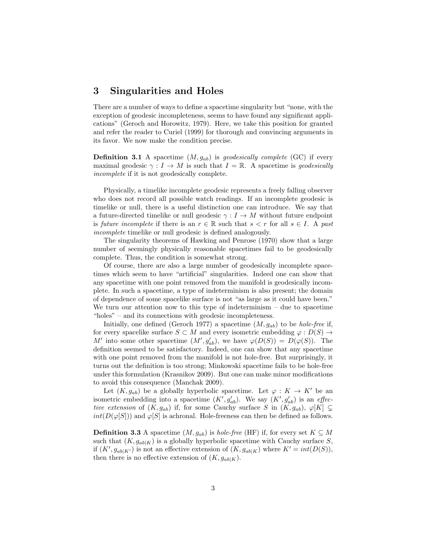#### 3 Singularities and Holes

There are a number of ways to define a spacetime singularity but "none, with the exception of geodesic incompleteness, seems to have found any significant applications" (Geroch and Horowitz, 1979). Here, we take this position for granted and refer the reader to Curiel (1999) for thorough and convincing arguments in its favor. We now make the condition precise.

**Definition 3.1** A spacetime  $(M, g_{ab})$  is geodesically complete (GC) if every maximal geodesic  $\gamma : I \to M$  is such that  $I = \mathbb{R}$ . A spacetime is geodesically incomplete if it is not geodesically complete.

Physically, a timelike incomplete geodesic represents a freely falling observer who does not record all possible watch readings. If an incomplete geodesic is timelike or null, there is a useful distinction one can introduce. We say that a future-directed timelike or null geodesic  $\gamma: I \to M$  without future endpoint is future incomplete if there is an  $r \in \mathbb{R}$  such that  $s < r$  for all  $s \in I$ . A past incomplete timelike or null geodesic is defined analogously.

The singularity theorems of Hawking and Penrose (1970) show that a large number of seemingly physically reasonable spacetimes fail to be geodesically complete. Thus, the condition is somewhat strong.

Of course, there are also a large number of geodesically incomplete spacetimes which seem to have "artificial" singularities. Indeed one can show that any spacetime with one point removed from the manifold is geodesically incomplete. In such a spacetime, a type of indeterminism is also present; the domain of dependence of some spacelike surface is not "as large as it could have been." We turn our attention now to this type of indeterminism – due to spacetime "holes" – and its connections with geodesic incompleteness.

Initially, one defined (Geroch 1977) a spacetime  $(M, g_{ab})$  to be *hole-free* if, for every spacelike surface  $S \subset M$  and every isometric embedding  $\varphi : D(S) \to$ M' into some other spacetime  $(M', g'_{ab})$ , we have  $\varphi(D(S)) = D(\varphi(S))$ . The definition seemed to be satisfactory. Indeed, one can show that any spacetime with one point removed from the manifold is not hole-free. But surprisingly, it turns out the definition is too strong; Minkowski spacetime fails to be hole-free under this formulation (Krasnikov 2009). But one can make minor modifications to avoid this consequence (Manchak 2009).

Let  $(K, g_{ab})$  be a globally hyperbolic spacetime. Let  $\varphi: K \to K'$  be an isometric embedding into a spacetime  $(K', g'_{ab})$ . We say  $(K', g'_{ab})$  is an *effec*tive extension of  $(K, g_{ab})$  if, for some Cauchy surface S in  $(K, g_{ab})$ ,  $\varphi[K] \subsetneq$  $int(D(\varphi|S|))$  and  $\varphi|S|$  is achronal. Hole-freeness can then be defined as follows.

**Definition 3.3** A spacetime  $(M, g_{ab})$  is *hole-free* (HF) if, for every set  $K \subseteq M$ such that  $(K, g_{ab|K})$  is a globally hyperbolic spacetime with Cauchy surface S, if  $(K', g_{ab|K'})$  is not an effective extension of  $(K, g_{ab|K})$  where  $K' = int(D(S)),$ then there is no effective extension of  $(K, g_{ab|K})$ .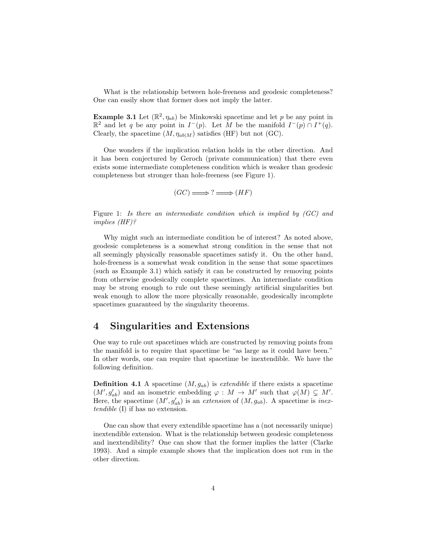What is the relationship between hole-freeness and geodesic completeness? One can easily show that former does not imply the latter.

**Example 3.1** Let  $(\mathbb{R}^2, \eta_{ab})$  be Minkowski spacetime and let p be any point in  $\mathbb{R}^2$  and let q be any point in  $I^-(p)$ . Let M be the manifold  $I^-(p) \cap I^+(q)$ . Clearly, the spacetime  $(M, \eta_{ab|M})$  satisfies (HF) but not (GC).

One wonders if the implication relation holds in the other direction. And it has been conjectured by Geroch (private communication) that there even exists some intermediate completeness condition which is weaker than geodesic completeness but stronger than hole-freeness (see Figure 1).

 $(GC) \Longrightarrow ? \Longrightarrow (HF)$ 

Figure 1: Is there an intermediate condition which is implied by (GC) and implies (HF)?

Why might such an intermediate condition be of interest? As noted above, geodesic completeness is a somewhat strong condition in the sense that not all seemingly physically reasonable spacetimes satisfy it. On the other hand, hole-freeness is a somewhat weak condition in the sense that some spacetimes (such as Example 3.1) which satisfy it can be constructed by removing points from otherwise geodesically complete spacetimes. An intermediate condition may be strong enough to rule out these seemingly artificial singularities but weak enough to allow the more physically reasonable, geodesically incomplete spacetimes guaranteed by the singularity theorems.

#### 4 Singularities and Extensions

One way to rule out spacetimes which are constructed by removing points from the manifold is to require that spacetime be "as large as it could have been." In other words, one can require that spacetime be inextendible. We have the following definition.

**Definition 4.1** A spacetime  $(M, g_{ab})$  is *extendible* if there exists a spacetime  $(M', g'_{ab})$  and an isometric embedding  $\varphi : M \to M'$  such that  $\varphi(M) \subsetneq M'$ . Here, the spacetime  $(M', g'_{ab})$  is an extension of  $(M, g_{ab})$ . A spacetime is inextendible (I) if has no extension.

One can show that every extendible spacetime has a (not necessarily unique) inextendible extension. What is the relationship between geodesic completeness and inextendibility? One can show that the former implies the latter (Clarke 1993). And a simple example shows that the implication does not run in the other direction.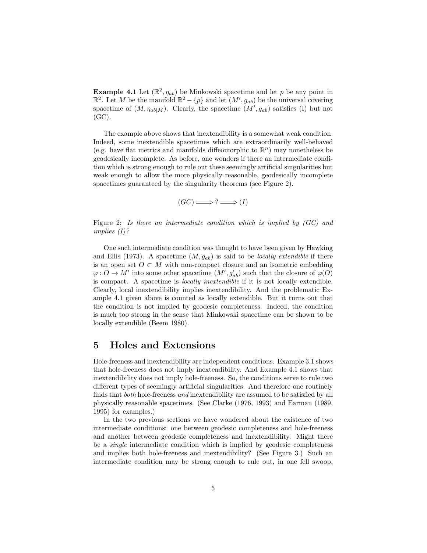**Example 4.1** Let  $(\mathbb{R}^2, \eta_{ab})$  be Minkowski spacetime and let p be any point in  $\mathbb{R}^2$ . Let M be the manifold  $\mathbb{R}^2 - \{p\}$  and let  $(M', g_{ab})$  be the universal covering spacetime of  $(M, \eta_{ab|M})$ . Clearly, the spacetime  $(M', g_{ab})$  satisfies (I) but not (GC).

The example above shows that inextendibility is a somewhat weak condition. Indeed, some inextendible spacetimes which are extraordinarily well-behaved (e.g. have flat metrics and manifolds diffeomorphic to  $\mathbb{R}^n$ ) may nonetheless be geodesically incomplete. As before, one wonders if there an intermediate condition which is strong enough to rule out these seemingly artificial singularities but weak enough to allow the more physically reasonable, geodesically incomplete spacetimes guaranteed by the singularity theorems (see Figure 2).

$$
(GC) \Longrightarrow ? \Longrightarrow (I)
$$

Figure 2: Is there an intermediate condition which is implied by (GC) and implies (I)?

One such intermediate condition was thought to have been given by Hawking and Ellis (1973). A spacetime  $(M, g_{ab})$  is said to be *locally extendible* if there is an open set  $O \subset M$  with non-compact closure and an isometric embedding  $\varphi: O \to M'$  into some other spacetime  $(M', g'_{ab})$  such that the closure of  $\varphi(O)$ is compact. A spacetime is locally inextendible if it is not locally extendible. Clearly, local inextendibility implies inextendibility. And the problematic Example 4.1 given above is counted as locally extendible. But it turns out that the condition is not implied by geodesic completeness. Indeed, the condition is much too strong in the sense that Minkowski spacetime can be shown to be locally extendible (Beem 1980).

## 5 Holes and Extensions

Hole-freeness and inextendibility are independent conditions. Example 3.1 shows that hole-freeness does not imply inextendibility. And Example 4.1 shows that inextendibility does not imply hole-freeness. So, the conditions serve to rule two different types of seemingly artificial singularities. And therefore one routinely finds that both hole-freeness and inextendibility are assumed to be satisfied by all physically reasonable spacetimes. (See Clarke (1976, 1993) and Earman (1989, 1995) for examples.)

In the two previous sections we have wondered about the existence of two intermediate conditions: one between geodesic completeness and hole-freeness and another between geodesic completeness and inextendibility. Might there be a single intermediate condition which is implied by geodesic completeness and implies both hole-freeness and inextendibility? (See Figure 3.) Such an intermediate condition may be strong enough to rule out, in one fell swoop,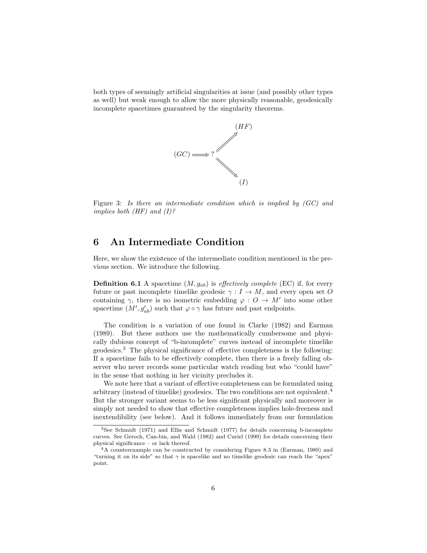both types of seemingly artificial singularities at issue (and possibly other types as well) but weak enough to allow the more physically reasonable, geodesically incomplete spacetimes guaranteed by the singularity theorems.



Figure 3: Is there an intermediate condition which is implied by (GC) and implies both  $(HF)$  and  $(I)$ ?

## 6 An Intermediate Condition

Here, we show the existence of the intermediate condition mentioned in the previous section. We introduce the following.

**Definition 6.1** A spacetime  $(M, g_{ab})$  is *effectively complete* (EC) if, for every future or past incomplete timelike geodesic  $\gamma : I \to M$ , and every open set O containing  $\gamma$ , there is no isometric embedding  $\varphi: O \to M'$  into some other spacetime  $(M', g'_{ab})$  such that  $\varphi \circ \gamma$  has future and past endpoints.

The condition is a variation of one found in Clarke (1982) and Earman (1989). But these authors use the mathematically cumbersome and physically dubious concept of "b-incomplete" curves instead of incomplete timelike geodesics.<sup>3</sup> The physical significance of effective completeness is the following: If a spacetime fails to be effectively complete, then there is a freely falling observer who never records some particular watch reading but who "could have" in the sense that nothing in her vicinity precludes it.

We note here that a variant of effective completeness can be formulated using arbitrary (instead of timelike) geodesics. The two conditions are not equivalent.<sup>4</sup> But the stronger variant seems to be less significant physically and moreover is simply not needed to show that effective completeness implies hole-freeness and inextendibility (see below). And it follows immediately from our formulation

<sup>3</sup>See Schmidt (1971) and Ellis and Schmidt (1977) for details concerning b-incomplete curves. See Geroch, Can-bin, and Wald (1982) and Curiel (1999) for details concerning their physical significance – or lack thereof.

<sup>4</sup>A counterexample can be constructed by considering Figure 8.3 in (Earman, 1989) and "turning it on its side" so that  $\gamma$  is spacelike and no timelike geodesic can reach the "apex" point.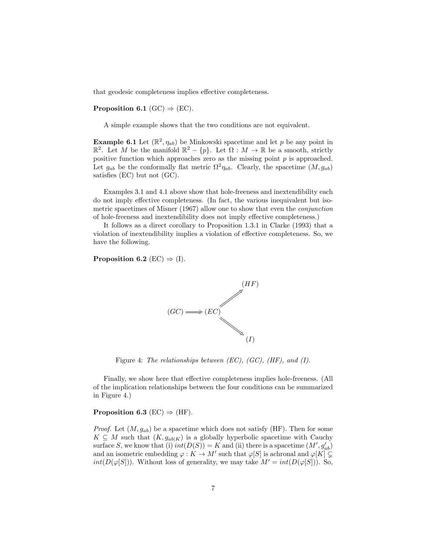that geodesic completeness implies effective completeness.

#### **Proposition 6.1** (GC)  $\Rightarrow$  (EC).

A simple example shows that the two conditions are not equivalent.

**Example 6.1** Let  $(\mathbb{R}^2, \eta_{ab})$  be Minkowski spacetime and let p be any point in  $\mathbb{R}^2$ . Let M be the manifold  $\mathbb{R}^2 - \{p\}$ . Let  $\Omega : M \to \mathbb{R}$  be a smooth, strictly positive function which approaches zero as the missing point  $p$  is approached. Let  $g_{ab}$  be the conformally flat metric  $\Omega^2 \eta_{ab}$ . Clearly, the spacetime  $(M, g_{ab})$ satisfies (EC) but not (GC).

Examples 3.1 and 4.1 above show that hole-freeness and inextendibility each do not imply effective completeness. (In fact, the various inequivalent but isometric spacetimes of Misner (1967) allow one to show that even the conjunction of hole-freeness and inextendibility does not imply effective completeness.)

It follows as a direct corollary to Proposition 1.3.1 in Clarke (1993) that a violation of inextendibility implies a violation of effective completeness. So, we have the following.

Proposition 6.2 (EC)  $\Rightarrow$  (I).



Figure 4: The relationships between  $(EC)$ ,  $(GC)$ ,  $(HF)$ , and  $(I)$ .

Finally, we show here that effective completeness implies hole-freeness. (All of the implication relationships between the four conditions can be summarized in Figure 4.)

#### Proposition 6.3 (EC)  $\Rightarrow$  (HF).

*Proof.* Let  $(M, g_{ab})$  be a spacetime which does not satisfy (HF). Then for some  $K \subseteq M$  such that  $(K, g_{ab|K})$  is a globally hyperbolic spacetime with Cauchy surface S, we know that (i)  $int(D(S)) = K$  and (ii) there is a spacetime  $(M', g'_{ab})$ and an isometric embedding  $\varphi: K \to M'$  such that  $\varphi[S]$  is achronal and  $\varphi[K] \subsetneq$  $int(D(\varphi[S]))$ . Without loss of generality, we may take  $M' = int(D(\varphi[S]))$ . So,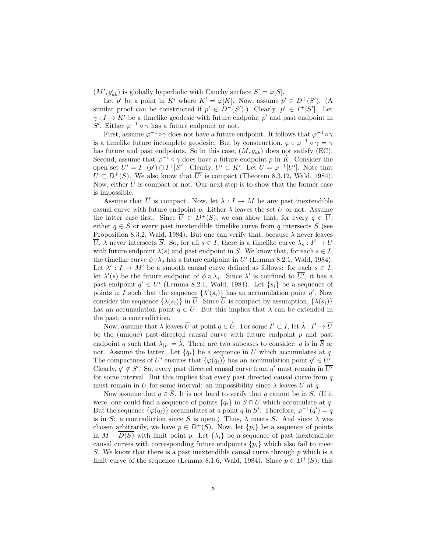$(M', g'_{ab})$  is globally hyperbolic with Cauchy surface  $S' = \varphi[S]$ .

Let p' be a point in  $\dot{K}$ ' where  $K' = \varphi[K]$ . Now, assume  $p' \in D^+(S')$ . (A similar proof can be constructed if  $p' \in D^-(S')$ .) Clearly,  $p' \in I^+[S']$ . Let  $\gamma: I \to K'$  be a timelike geodesic with future endpoint p' and past endpoint in S'. Either  $\varphi^{-1} \circ \gamma$  has a future endpoint or not.

First, assume  $\varphi^{-1} \circ \gamma$  does not have a future endpoint. It follows that  $\varphi^{-1} \circ \gamma$ is a timelike future incomplete geodesic. But by construction,  $\varphi \circ \varphi^{-1} \circ \gamma = \gamma$ has future and past endpoints. So in this case,  $(M, g_{ab})$  does not satisfy (EC). Second, assume that  $\varphi^{-1} \circ \gamma$  does have a future endpoint p in  $\dot{K}$ . Consider the open set  $U' = I^{-}(p') \cap I^{+}[S']$ . Clearly,  $U' \subset K'$ . Let  $U = \varphi^{-1}[U']$ . Note that  $U \subset D^+(S)$ . We also know that  $\overline{U'}$  is compact (Theorem 8.3.12, Wald, 1984). Now, either  $\overline{U}$  is compact or not. Our next step is to show that the former case is impossible.

Assume that  $\overline{U}$  is compact. Now, let  $\lambda : I \to M$  be any past inextendible casual curve with future endpoint p. Either  $\lambda$  leaves the set  $\overline{U}$  or not. Assume the latter case first. Since  $\overline{U} \subset D^+(S)$ , we can show that, for every  $q \in \overline{U}$ , either  $q \in \dot{S}$  or every past inextendible timelike curve from q intersects S (see Proposition 8.3.2, Wald, 1984). But one can verify that, because  $\lambda$  never leaves  $\overline{U}$ ,  $\lambda$  never intersects  $\overline{S}$ . So, for all  $s \in I$ , there is a timelike curve  $\lambda_s: I' \to U$ with future endpoint  $\lambda(s)$  and past endpoint in S. We know that, for each  $s \in I$ , the timelike curve  $\phi \circ \lambda_s$  has a future endpoint in  $\overline{U'}$  (Lemma 8.2.1, Wald, 1984). Let  $\lambda' : I \to M'$  be a smooth causal curve defined as follows: for each  $s \in I$ , let  $\lambda'(s)$  be the future endpoint of  $\phi \circ \lambda_s$ . Since  $\lambda'$  is confined to  $\overline{U'}$ , it has a past endpoint  $q' \in \overline{U'}$  (Lemma 8.2.1, Wald, 1984). Let  $\{s_i\}$  be a sequence of points in I such that the sequence  $\{\lambda'(s_i)\}$  has an accumulation point q'. Now consider the sequence  $\{\lambda(s_i)\}\$ in  $\overline{U}$ . Since  $\overline{U}$  is compact by assumption,  $\{\lambda(s_i)\}\$ has an accumulation point  $q \in U$ . But this implies that  $\lambda$  can be extended in the past: a contradiction.

Now, assume that  $\lambda$  leaves  $\overline{U}$  at point  $q \in \dot{U}$ . For some  $I' \subset I$ , let  $\hat{\lambda}: I' \to \overline{U}$ be the (unique) past-directed causal curve with future endpoint  $p$  and past endpoint q such that  $\lambda_{|I'} = \hat{\lambda}$ . There are two subcases to consider: q is in  $\overline{S}$  or not. Assume the latter. Let  ${q_i}$  be a sequence in U which accumulates at q. The compactness of  $\overline{U'}$  ensures that  $\{\varphi(q_i)\}\$  has an accumulation point  $q' \in \overline{U'}$ . Clearly,  $q' \notin S'$ . So, every past directed causal curve from  $q'$  must remain in  $\overline{U'}$ for some interval. But this implies that every past directed causal curve from  $q$ must remain in  $\overline{U}$  for some interval: an impossibility since  $\lambda$  leaves  $\overline{U}$  at q.

Now assume that  $q \in \overline{S}$ . It is not hard to verify that q cannot be in  $\dot{S}$ . (If it were, one could find a sequence of points  ${q_i}$  in  $S \cap U$  which accumulate at q. But the sequence  $\{\varphi(q_i)\}\)$  accumulates at a point q in S'. Therefore,  $\varphi^{-1}(q') = q$ is in S: a contradiction since S is open.) Thus,  $\lambda$  meets S. And since  $\lambda$  was chosen arbitrarily, we have  $p \in D^+(S)$ . Now, let  $\{p_i\}$  be a sequence of points in  $M - D(S)$  with limit point p. Let  $\{\lambda_i\}$  be a sequence of past inextendible causal curves with corresponding future endpoints  $\{p_i\}$  which also fail to meet S. We know that there is a past inextendible causal curve through  $p$  which is a limit curve of the sequence (Lemma 8.1.6, Wald, 1984). Since  $p \in D^+(S)$ , this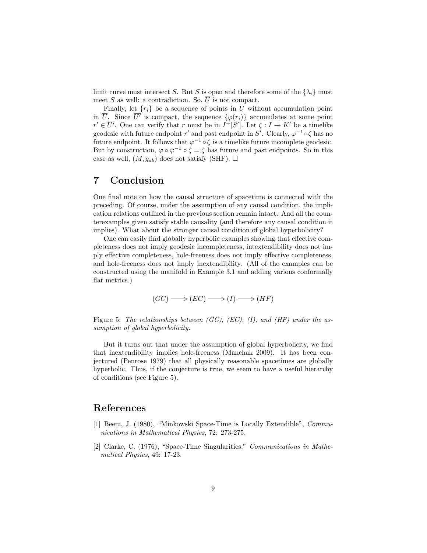limit curve must intersect S. But S is open and therefore some of the  $\{\lambda_i\}$  must meet S as well: a contradiction. So,  $\overline{U}$  is not compact.

Finally, let  $\{r_i\}$  be a sequence of points in U without accumulation point in  $\overline{U}$ . Since  $\overline{U'}$  is compact, the sequence  $\{\varphi(r_i)\}\$  accumulates at some point  $r' \in \overline{U'}$ . One can verify that r must be in  $I^+[S']$ . Let  $\zeta : I \to K'$  be a timelike geodesic with future endpoint r' and past endpoint in S'. Clearly,  $\varphi^{-1} \circ \zeta$  has no future endpoint. It follows that  $\varphi^{-1} \circ \zeta$  is a timelike future incomplete geodesic. But by construction,  $\varphi \circ \varphi^{-1} \circ \zeta = \zeta$  has future and past endpoints. So in this case as well,  $(M, q_{ab})$  does not satisfy (SHF).  $\square$ 

## 7 Conclusion

One final note on how the causal structure of spacetime is connected with the preceding. Of course, under the assumption of any causal condition, the implication relations outlined in the previous section remain intact. And all the counterexamples given satisfy stable causality (and therefore any causal condition it implies). What about the stronger causal condition of global hyperbolicity?

One can easily find globally hyperbolic examples showing that effective completeness does not imply geodesic incompleteness, intextendibility does not imply effective completeness, hole-freeness does not imply effective completeness, and hole-freeness does not imply inextendibility. (All of the examples can be constructed using the manifold in Example 3.1 and adding various conformally flat metrics.)

$$
(GC) \Longrightarrow (EC) \Longrightarrow (I) \Longrightarrow (HF)
$$

Figure 5: The relationships between  $(GC)$ ,  $(EC)$ ,  $(I)$ , and  $(HF)$  under the assumption of global hyperbolicity.

But it turns out that under the assumption of global hyperbolicity, we find that inextendibility implies hole-freeness (Manchak 2009). It has been conjectured (Penrose 1979) that all physically reasonable spacetimes are globally hyperbolic. Thus, if the conjecture is true, we seem to have a useful hierarchy of conditions (see Figure 5).

#### References

- [1] Beem, J. (1980), "Minkowski Space-Time is Locally Extendible", Communications in Mathematical Physics, 72: 273-275.
- [2] Clarke, C. (1976), "Space-Time Singularities," Communications in Mathematical Physics, 49: 17-23.